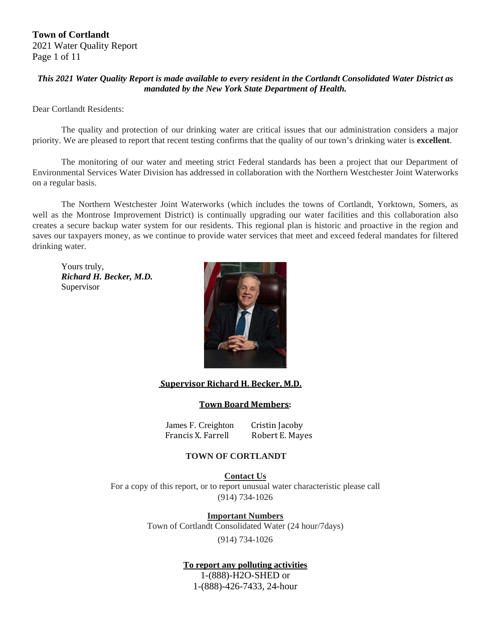#### *This 2021 Water Quality Report is made available to every resident in the Cortlandt Consolidated Water District as mandated by the New York State Department of Health.*

Dear Cortlandt Residents:

The quality and protection of our drinking water are critical issues that our administration considers a major priority. We are pleased to report that recent testing confirms that the quality of our town's drinking water is **excellent**.

The monitoring of our water and meeting strict Federal standards has been a project that our Department of Environmental Services Water Division has addressed in collaboration with the Northern Westchester Joint Waterworks on a regular basis.

The Northern Westchester Joint Waterworks (which includes the towns of Cortlandt, Yorktown, Somers, as well as the Montrose Improvement District) is continually upgrading our water facilities and this collaboration also creates a secure backup water system for our residents. This regional plan is historic and proactive in the region and saves our taxpayers money, as we continue to provide water services that meet and exceed federal mandates for filtered drinking water.

 Yours truly,  *Richard H. Becker, M.D.*  Supervisor



#### *<u>Supervisor Richard H. Becker, M.D.</u>*

#### **Town Board Members:**

James F. Creighton Cristin Jacoby Francis X. Farrell Robert E. Mayes

### **TOWN OF CORTLANDT**

**Contact Us**  For a copy of this report, or to report unusual water characteristic please call (914) 734-1026

> **Important Numbers** Town of Cortlandt Consolidated Water (24 hour/7days)

(914) 734-1026

### **To report any polluting activities**

1-(888)-H2O-SHED or 1-(888)-426-7433, 24-hour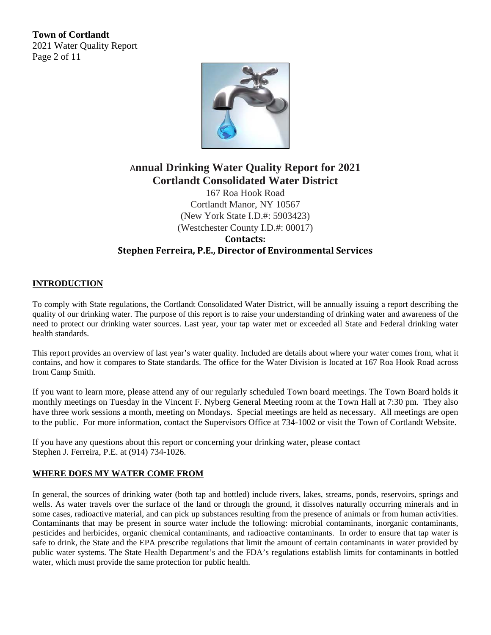**Town of Cortlandt**  2021 Water Quality Report Page 2 of 11



# A**nnual Drinking Water Quality Report for 2021 Cortlandt Consolidated Water District**

167 Roa Hook Road Cortlandt Manor, NY 10567 (New York State I.D.#: 5903423) (Westchester County I.D.#: 00017) **Contacts: Stephen Ferreira, P.E., Director of Environmental Services**

#### **INTRODUCTION**

To comply with State regulations, the Cortlandt Consolidated Water District, will be annually issuing a report describing the quality of our drinking water. The purpose of this report is to raise your understanding of drinking water and awareness of the need to protect our drinking water sources. Last year, your tap water met or exceeded all State and Federal drinking water health standards.

This report provides an overview of last year's water quality. Included are details about where your water comes from, what it contains, and how it compares to State standards. The office for the Water Division is located at 167 Roa Hook Road across from Camp Smith.

If you want to learn more, please attend any of our regularly scheduled Town board meetings. The Town Board holds it monthly meetings on Tuesday in the Vincent F. Nyberg General Meeting room at the Town Hall at 7:30 pm. They also have three work sessions a month, meeting on Mondays. Special meetings are held as necessary. All meetings are open to the public. For more information, contact the Supervisors Office at 734-1002 or visit the Town of Cortlandt Website.

If you have any questions about this report or concerning your drinking water, please contact Stephen J. Ferreira, P.E. at (914) 734-1026.

#### **WHERE DOES MY WATER COME FROM**

In general, the sources of drinking water (both tap and bottled) include rivers, lakes, streams, ponds, reservoirs, springs and wells. As water travels over the surface of the land or through the ground, it dissolves naturally occurring minerals and in some cases, radioactive material, and can pick up substances resulting from the presence of animals or from human activities. Contaminants that may be present in source water include the following: microbial contaminants, inorganic contaminants, pesticides and herbicides, organic chemical contaminants, and radioactive contaminants. In order to ensure that tap water is safe to drink, the State and the EPA prescribe regulations that limit the amount of certain contaminants in water provided by public water systems. The State Health Department's and the FDA's regulations establish limits for contaminants in bottled water, which must provide the same protection for public health.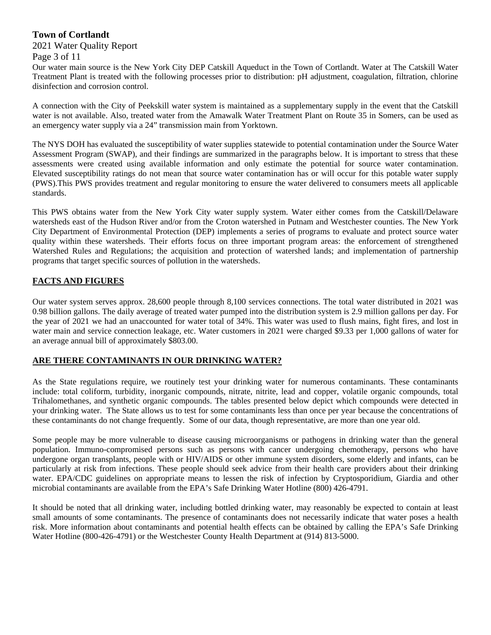# **Town of Cortlandt**

### 2021 Water Quality Report

Page 3 of 11

Our water main source is the New York City DEP Catskill Aqueduct in the Town of Cortlandt. Water at The Catskill Water Treatment Plant is treated with the following processes prior to distribution: pH adjustment, coagulation, filtration, chlorine disinfection and corrosion control.

A connection with the City of Peekskill water system is maintained as a supplementary supply in the event that the Catskill water is not available. Also, treated water from the Amawalk Water Treatment Plant on Route 35 in Somers, can be used as an emergency water supply via a 24" transmission main from Yorktown.

The NYS DOH has evaluated the susceptibility of water supplies statewide to potential contamination under the Source Water Assessment Program (SWAP), and their findings are summarized in the paragraphs below. It is important to stress that these assessments were created using available information and only estimate the potential for source water contamination. Elevated susceptibility ratings do not mean that source water contamination has or will occur for this potable water supply (PWS).This PWS provides treatment and regular monitoring to ensure the water delivered to consumers meets all applicable standards.

This PWS obtains water from the New York City water supply system. Water either comes from the Catskill/Delaware watersheds east of the Hudson River and/or from the Croton watershed in Putnam and Westchester counties. The New York City Department of Environmental Protection (DEP) implements a series of programs to evaluate and protect source water quality within these watersheds. Their efforts focus on three important program areas: the enforcement of strengthened Watershed Rules and Regulations; the acquisition and protection of watershed lands; and implementation of partnership programs that target specific sources of pollution in the watersheds.

## **FACTS AND FIGURES**

Our water system serves approx. 28,600 people through 8,100 services connections. The total water distributed in 2021 was 0.98 billion gallons. The daily average of treated water pumped into the distribution system is 2.9 million gallons per day. For the year of 2021 we had an unaccounted for water total of 34%. This water was used to flush mains, fight fires, and lost in water main and service connection leakage, etc. Water customers in 2021 were charged \$9.33 per 1,000 gallons of water for an average annual bill of approximately \$803.00.

### **ARE THERE CONTAMINANTS IN OUR DRINKING WATER?**

As the State regulations require, we routinely test your drinking water for numerous contaminants. These contaminants include: total coliform, turbidity, inorganic compounds, nitrate, nitrite, lead and copper, volatile organic compounds, total Trihalomethanes, and synthetic organic compounds. The tables presented below depict which compounds were detected in your drinking water. The State allows us to test for some contaminants less than once per year because the concentrations of these contaminants do not change frequently. Some of our data, though representative, are more than one year old.

Some people may be more vulnerable to disease causing microorganisms or pathogens in drinking water than the general population. Immuno-compromised persons such as persons with cancer undergoing chemotherapy, persons who have undergone organ transplants, people with or HIV/AIDS or other immune system disorders, some elderly and infants, can be particularly at risk from infections. These people should seek advice from their health care providers about their drinking water. EPA/CDC guidelines on appropriate means to lessen the risk of infection by Cryptosporidium, Giardia and other microbial contaminants are available from the EPA's Safe Drinking Water Hotline (800) 426-4791.

It should be noted that all drinking water, including bottled drinking water, may reasonably be expected to contain at least small amounts of some contaminants. The presence of contaminants does not necessarily indicate that water poses a health risk. More information about contaminants and potential health effects can be obtained by calling the EPA's Safe Drinking Water Hotline (800-426-4791) or the Westchester County Health Department at (914) 813-5000.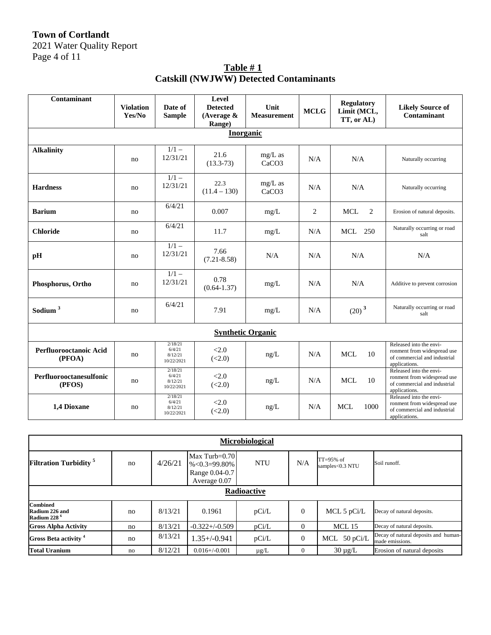# **Town of Cortlandt**

2021 Water Quality Report Page 4 of 11

| Table $#1$                                    |  |
|-----------------------------------------------|--|
| <b>Catskill (NWJWW) Detected Contaminants</b> |  |

| Contaminant                       | <b>Violation</b> | Date of                                    | Level<br><b>Detected</b> | Unit                           | <b>MCLG</b> | <b>Regulatory</b><br>Limit (MCL, | <b>Likely Source of</b>                                                                                 |  |  |  |  |
|-----------------------------------|------------------|--------------------------------------------|--------------------------|--------------------------------|-------------|----------------------------------|---------------------------------------------------------------------------------------------------------|--|--|--|--|
|                                   | Yes/No           | <b>Sample</b>                              | (Average $\&$<br>Range)  | <b>Measurement</b>             |             | TT, or AL)                       | Contaminant                                                                                             |  |  |  |  |
| <b>Inorganic</b>                  |                  |                                            |                          |                                |             |                                  |                                                                                                         |  |  |  |  |
| <b>Alkalinity</b>                 | no               | $1/1 -$<br>12/31/21                        | 21.6<br>$(13.3-73)$      | mg/L as<br>CaCO <sub>3</sub>   | N/A         | N/A                              | Naturally occurring                                                                                     |  |  |  |  |
| <b>Hardness</b>                   | no               | $\overline{1/1}$ –<br>12/31/21             | 22.3<br>$(11.4 - 130)$   | $mg/L$ as<br>CaCO <sub>3</sub> | N/A         | N/A                              | Naturally occurring                                                                                     |  |  |  |  |
| <b>Barium</b>                     | no               | 6/4/21                                     | 0.007                    | mg/L                           | 2           | <b>MCL</b><br>2                  | Erosion of natural deposits.                                                                            |  |  |  |  |
| <b>Chloride</b>                   | no               | 6/4/21                                     | 11.7                     | mg/L                           | N/A         | MCL 250                          | Naturally occurring or road<br>salt                                                                     |  |  |  |  |
| pH                                | no               | $1/1 -$<br>12/31/21                        | 7.66<br>$(7.21 - 8.58)$  | N/A                            | N/A         | N/A                              | N/A                                                                                                     |  |  |  |  |
| Phosphorus, Ortho                 | no               | $1/1 -$<br>12/31/21                        | 0.78<br>$(0.64 - 1.37)$  | mg/L                           | N/A         | N/A                              | Additive to prevent corrosion                                                                           |  |  |  |  |
| Sodium <sup>3</sup>               | no               | 6/4/21                                     | 7.91                     | mg/L                           | N/A         | $(20)^3$                         | Naturally occurring or road<br>salt                                                                     |  |  |  |  |
| <b>Synthetic Organic</b>          |                  |                                            |                          |                                |             |                                  |                                                                                                         |  |  |  |  |
| Perfluorooctanoic Acid<br>(PFOA)  | no               | 2/18/21<br>6/4/21<br>8/12/21<br>10/22/2021 | < 2.0<br>(<2.0)          | ng/L                           | N/A         | <b>MCL</b><br>10                 | Released into the envi-<br>ronment from widespread use<br>of commercial and industrial<br>applications. |  |  |  |  |
| Perfluorooctanesulfonic<br>(PFOS) | no               | 2/18/21<br>6/4/21<br>8/12/21<br>10/22/2021 | <2.0<br>(<2.0)           | ng/L                           | N/A         | <b>MCL</b><br>10                 | Released into the envi-<br>ronment from widespread use<br>of commercial and industrial<br>applications. |  |  |  |  |
| 1,4 Dioxane                       | no               | 2/18/21<br>6/4/21<br>8/12/21<br>10/22/2021 | <2.0<br>(<2.0)           | ng/L                           | N/A         | <b>MCL</b><br>1000               | Released into the envi-<br>ronment from widespread use<br>of commercial and industrial<br>applications. |  |  |  |  |

| <b>Microbiological</b>                                       |    |         |                                                                           |            |          |                                   |                                                         |  |  |  |  |
|--------------------------------------------------------------|----|---------|---------------------------------------------------------------------------|------------|----------|-----------------------------------|---------------------------------------------------------|--|--|--|--|
| <b>Filtration Turbidity</b> <sup>5</sup>                     | no | 4/26/21 | Max Turb= $0.70$<br>$\%$ < 0.3 = 99.80%<br>Range 0.04-0.7<br>Average 0.07 | <b>NTU</b> | N/A      | $TT = 95\%$ of<br>samples<0.3 NTU | Soil runoff.                                            |  |  |  |  |
| <b>Radioactive</b>                                           |    |         |                                                                           |            |          |                                   |                                                         |  |  |  |  |
| <b>Combined</b><br>Radium 226 and<br>Radium 228 <sup>6</sup> | no | 8/13/21 | 0.1961                                                                    | pCi/L      | $\Omega$ | MCL 5 $pCi/L$                     | Decay of natural deposits.                              |  |  |  |  |
| <b>Gross Alpha Activity</b>                                  | no | 8/13/21 | $-0.322+/-0.509$                                                          | pCi/L      | $\Omega$ | MCL 15                            | Decay of natural deposits.                              |  |  |  |  |
| Gross Beta activity <sup>4</sup>                             | no | 8/13/21 | $1.35 + (-0.941)$                                                         | pCi/L      | $\Omega$ | MCL 50 pCi/L                      | Decay of natural deposits and human-<br>made emissions. |  |  |  |  |
| <b>Total Uranium</b>                                         | no | 8/12/21 | $0.016 + (-0.001)$                                                        | $\mu$ g/L  | $\Omega$ | $30 \mu g/L$                      | Erosion of natural deposits                             |  |  |  |  |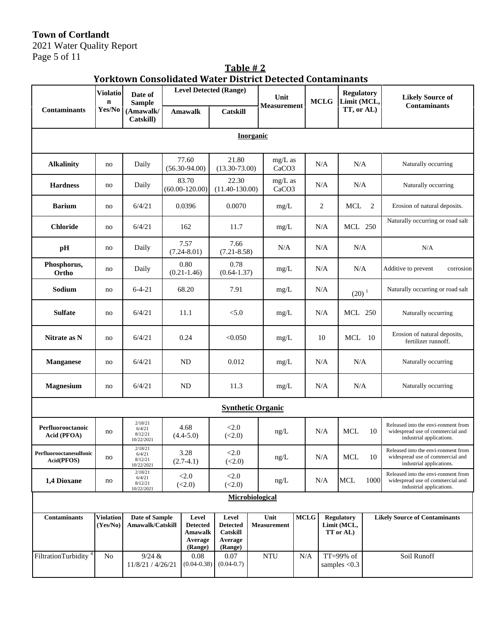**Town of Cortlandt** 

2021 Water Quality Report Page 5 of 11

| <b>Yorktown Consolidated Water District Detected Contaminants</b> |                                |                                            |                             |                                                           |                                                            |        |                                |             |                              |     |                                               |             |                                                                                                     |
|-------------------------------------------------------------------|--------------------------------|--------------------------------------------|-----------------------------|-----------------------------------------------------------|------------------------------------------------------------|--------|--------------------------------|-------------|------------------------------|-----|-----------------------------------------------|-------------|-----------------------------------------------------------------------------------------------------|
|                                                                   | <b>Violatio</b><br>$\mathbf n$ | Date of<br><b>Sample</b>                   |                             |                                                           | <b>Level Detected (Range)</b>                              |        | Unit<br><b>Measurement</b>     |             | <b>MCLG</b>                  |     | <b>Regulatory</b><br>Limit (MCL,              |             | <b>Likely Source of</b>                                                                             |
| <b>Contaminants</b>                                               | Yes/No                         | (Amawalk/<br>Catskill)                     |                             | <b>Amawalk</b>                                            | <b>Catskill</b>                                            |        |                                |             |                              |     | TT, or AL)                                    |             | <b>Contaminants</b>                                                                                 |
| <b>Inorganic</b>                                                  |                                |                                            |                             |                                                           |                                                            |        |                                |             |                              |     |                                               |             |                                                                                                     |
| <b>Alkalinity</b>                                                 | no                             | Daily                                      |                             | 77.60<br>$(56.30-94.00)$                                  | 21.80<br>$(13.30 - 73.00)$                                 |        | mg/L as<br>CaCO <sub>3</sub>   |             |                              | N/A | N/A                                           |             | Naturally occurring                                                                                 |
| <b>Hardness</b>                                                   | no                             | Daily                                      | 83.70<br>$(60.00 - 120.00)$ |                                                           | 22.30<br>$(11.40 - 130.00)$                                |        | $mg/L$ as<br>CaCO <sub>3</sub> |             |                              | N/A | N/A                                           |             | Naturally occurring                                                                                 |
| <b>Barium</b>                                                     | no                             | 6/4/21                                     |                             | 0.0396                                                    | 0.0070                                                     |        | mg/L                           |             |                              | 2   | <b>MCL</b>                                    | 2           | Erosion of natural deposits.                                                                        |
| <b>Chloride</b>                                                   | no                             | 6/4/21                                     |                             | 162                                                       | 11.7                                                       |        | mg/L                           |             |                              | N/A | <b>MCL 250</b>                                |             | Naturally occurring or road salt                                                                    |
| pH                                                                | no                             | Daily                                      |                             | 7.57<br>$(7.24 - 8.01)$                                   | 7.66<br>$(7.21 - 8.58)$                                    |        | N/A                            |             |                              | N/A | N/A                                           |             | N/A                                                                                                 |
| Phosphorus,<br>Ortho                                              | no                             | Daily                                      |                             | 0.80<br>$(0.21 - 1.46)$                                   | 0.78<br>$(0.64 - 1.37)$                                    |        | mg/L                           |             |                              | N/A | N/A                                           |             | Additive to prevent<br>corrosion                                                                    |
| Sodium                                                            | no                             | $6 - 4 - 21$                               |                             | 68.20                                                     | 7.91                                                       |        | mg/L                           |             |                              | N/A | $(20)^1$                                      |             | Naturally occurring or road salt                                                                    |
| <b>Sulfate</b>                                                    | no                             | 6/4/21                                     |                             | 11.1                                                      | < 5.0                                                      |        | mg/L                           |             |                              | N/A | <b>MCL 250</b>                                |             | Naturally occurring                                                                                 |
| Nitrate as N                                                      | no                             | 6/4/21                                     | 0.24                        |                                                           | < 0.050                                                    |        | mg/L                           |             |                              | 10  | 10<br>MCL                                     |             | Erosion of natural deposits,<br>fertilizer runnoff.                                                 |
| <b>Manganese</b>                                                  | no                             | 6/4/21                                     |                             | <b>ND</b>                                                 | 0.012                                                      |        | mg/L                           |             |                              | N/A | N/A                                           |             | Naturally occurring                                                                                 |
| <b>Magnesium</b>                                                  | no                             | 6/4/21                                     | <b>ND</b><br>11.3           |                                                           |                                                            | $mg/L$ |                                | N/A<br>N/A  |                              |     | Naturally occurring                           |             |                                                                                                     |
|                                                                   |                                |                                            |                             |                                                           |                                                            |        | <b>Synthetic Organic</b>       |             |                              |     |                                               |             |                                                                                                     |
| Perfluorooctanoic<br>Acid (PFOA)                                  | no                             | 2/18/21<br>6/4/21<br>8/12/21<br>10/22/2021 | 4.68<br>$(4.4 - 5.0)$       |                                                           | < 2.0<br>(<2.0)                                            |        | ng/L                           |             |                              | N/A | <b>MCL</b>                                    | 10          | Released into the envi-ronment from<br>widespread use of commercial and<br>industrial applications. |
| Perfluorooctanesulfonic<br>Acid(PFOS)                             | no                             | 2/18/21<br>6/4/21<br>8/12/21<br>10/22/2021 |                             | 3.28<br>$(2.7-4.1)$                                       | <2.0<br>(<2.0)                                             |        | ng/L                           |             | N/A                          |     | MCL                                           | 10          | Released into the envi-ronment from<br>widespread use of commercial and<br>industrial applications. |
| 1,4 Dioxane                                                       | no                             | 2/18/21<br>6/4/21<br>8/12/21<br>10/22/2021 |                             | < 2.0<br>(<2.0)                                           | < 2.0<br>(<2.0)                                            |        | ng/L                           |             | N/A                          |     | <b>MCL</b>                                    | 1000        | Released into the envi-ronment from<br>widespread use of commercial and<br>industrial applications. |
| Microbiological                                                   |                                |                                            |                             |                                                           |                                                            |        |                                |             |                              |     |                                               |             |                                                                                                     |
| <b>Contaminants</b>                                               | <b>Violation</b><br>(Yes/No)   | <b>Date of Sample</b><br>Amawalk/Catskill  |                             | Level<br><b>Detected</b><br>Amawalk<br>Average<br>(Range) | Level<br><b>Detected</b><br>Catskill<br>Average<br>(Range) |        | Unit<br><b>Measurement</b>     | <b>MCLG</b> |                              |     | <b>Regulatory</b><br>Limit (MCL,<br>TT or AL) |             | <b>Likely Source of Contaminants</b>                                                                |
| FiltrationTurbidity <sup>4</sup>                                  | No                             | 9/24 &<br>11/8/21 / 4/26/21                |                             | 0.08<br>$(0.04 - 0.38)$                                   | 0.07<br>$(0.04 - 0.7)$                                     |        | <b>NTU</b>                     | N/A         | TT=99% of<br>samples $< 0.3$ |     |                                               | Soil Runoff |                                                                                                     |

**Table** # 2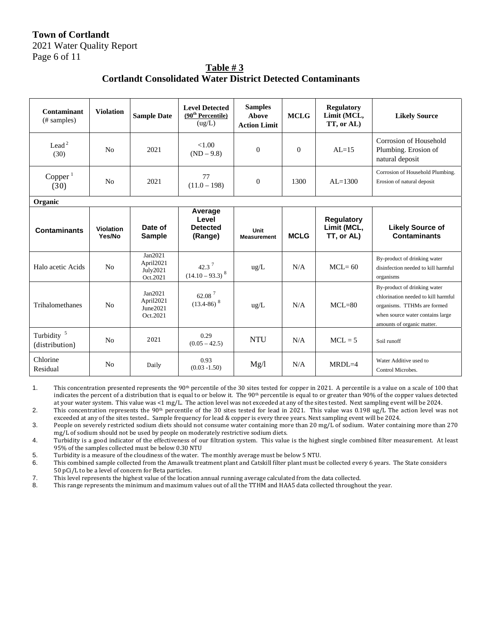# **Town of Cortlandt**  2021 Water Quality Report Page 6 of 11

**Table # 3 Cortlandt Consolidated Water District Detected Contaminants**

| Contaminant<br>(# samples)               | <b>Violation</b>    | <b>Sample Date</b>                           | <b>Level Detected</b><br>(90 <sup>th</sup> Percentile)<br>(ug/L) | <b>Samples</b><br><b>Above</b><br><b>Action Limit</b> | <b>MCLG</b>  | <b>Regulatory</b><br>Limit (MCL,<br>TT, or AL) | <b>Likely Source</b>                                                                                                                                                 |
|------------------------------------------|---------------------|----------------------------------------------|------------------------------------------------------------------|-------------------------------------------------------|--------------|------------------------------------------------|----------------------------------------------------------------------------------------------------------------------------------------------------------------------|
| Lead <sup>2</sup><br>(30)                | N <sub>0</sub>      | 2021                                         | < 1.00<br>$(ND - 9.8)$                                           | $\Omega$                                              | $\mathbf{0}$ | $AI = 15$                                      | Corrosion of Household<br>Plumbing. Erosion of<br>natural deposit                                                                                                    |
| Copper <sup>1</sup><br>(30)              | N <sub>o</sub>      | 2021                                         | 77<br>$(11.0 - 198)$                                             | $\theta$                                              | 1300         | $AL=1300$                                      | Corrosion of Household Plumbing.<br>Erosion of natural deposit                                                                                                       |
| Organic                                  |                     |                                              |                                                                  |                                                       |              |                                                |                                                                                                                                                                      |
| <b>Contaminants</b>                      | Violation<br>Yes/No | Date of<br><b>Sample</b>                     | Average<br>Level<br><b>Detected</b><br>(Range)                   | Unit<br><b>Measurement</b>                            | <b>MCLG</b>  | <b>Regulatory</b><br>Limit (MCL,<br>TT, or AL) | <b>Likely Source of</b><br><b>Contaminants</b>                                                                                                                       |
| Halo acetic Acids                        | N <sub>o</sub>      | Jan2021<br>April2021<br>July2021<br>Oct.2021 | 42.3 $^7$<br>$(14.10 - 93.3)^{8}$                                | $\text{ug/L}$                                         | N/A          | $MCL = 60$                                     | By-product of drinking water<br>disinfection needed to kill harmful<br>organisms                                                                                     |
| Trihalomethanes                          | No                  | Jan2021<br>April2021<br>June2021<br>Oct.2021 | 62.08 <sup>7</sup><br>$(13.4 - 86)^8$                            | $\text{ug/L}$                                         | N/A          | $MCL=80$                                       | By-product of drinking water<br>chlorination needed to kill harmful<br>organisms. TTHMs are formed<br>when source water contains large<br>amounts of organic matter. |
| Turbidity <sup>5</sup><br>(distribution) | N <sub>0</sub>      | 2021                                         | 0.29<br>$(0.05 - 42.5)$                                          | <b>NTU</b>                                            | N/A          | $MCL = 5$                                      | Soil runoff                                                                                                                                                          |
| Chlorine<br>Residual                     | N <sub>0</sub>      | Daily                                        | 0.93<br>$(0.03 - 1.50)$                                          | Mg/l                                                  | N/A          | $MRDL=4$                                       | Water Additive used to<br>Control Microbes.                                                                                                                          |

1. This concentration presented represents the 90<sup>th</sup> percentile of the 30 sites tested for copper in 2021. A percentile is a value on a scale of 100 that indicates the percent of a distribution that is equal to or below it. The 90<sup>th</sup> percentile is equal to or greater than 90% of the copper values detected at your water system. This value was <1 mg/L. The action level was not exceeded at any of the sites tested. Next sampling event will be 2024.

2. This concentration represents the 90<sup>th</sup> percentile of the 30 sites tested for lead in 2021. This value was 0.198 ug/L The action level was not exceeded at any of the sites tested.. Sample frequency for lead & copper is every three years. Next sampling event will be 2024.

3. People on severely restricted sodium diets should not consume water containing more than 20 mg/L of sodium. Water containing more than 270 mg/L of sodium should not be used by people on moderately restrictive sodium diets.

4. Turbidity is a good indicator of the effectiveness of our filtration system. This value is the highest single combined filter measurement. At least 95% of the samples collected must be below 0.30 NTU

5. Turbidity is a measure of the cloudiness of the water. The monthly average must be below 5 NTU.

6. This combined sample collected from the Amawalk treatment plant and Catskill filter plant must be collected every 6 years. The State considers 50 pCi/L to be a level of concern for Beta particles.

7. This level represents the highest value of the location annual running average calculated from the data collected.

8. This range represents the minimum and maximum values out of all the TTHM and HAA5 data collected throughout the year.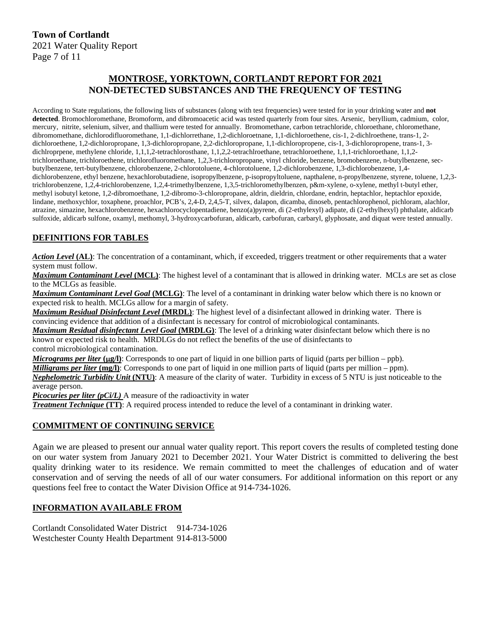# **MONTROSE, YORKTOWN, CORTLANDT REPORT FOR 2021 NON-DETECTED SUBSTANCES AND THE FREQUENCY OF TESTING**

According to State regulations, the following lists of substances (along with test frequencies) were tested for in your drinking water and **not detected**. Bromochloromethane, Bromoform, and dibromoacetic acid was tested quarterly from four sites. Arsenic, beryllium, cadmium, color, mercury, nitrite, selenium, silver, and thallium were tested for annually. Bromomethane, carbon tetrachloride, chloroethane, chloromethane, dibromomethane, dichlorodifluoromethane, 1,1-dichlorrethane, 1,2-dichloroetnane, 1,1-dichloroethene, cis-1, 2-dichlroethene, trans-1, 2 dichloroethene, 1,2-dichloropropane, 1,3-dichloropropane, 2,2-dichloropropane, 1,1-dichloropropene, cis-1, 3-dichloropropene, trans-1, 3 dichlroprpene, methylene chloride, 1,1,1,2-tetrachlorosthane, 1,1,2,2-tetrachlroethane, tetrachloroethene, 1,1,1-trichloroethane, 1,1,2trichloroethane, trichloroethene, trichlorofluoromethane, 1,2,3-trichloropropane, vinyl chloride, benzene, bromobenzene, n-butylbenzene, secbutylbenzene, tert-butylbenzene, chlorobenzene, 2-chlorotoluene, 4-chlorotoluene, 1,2-dichlorobenzene, 1,3-dichlorobenzene, 1,4 dichlorobenzene, ethyl benzene, hexachlorobutadiene, isopropylbenzene, p-isopropyltoluene, napthalene, n-propylbenzene, styrene, toluene, 1,2,3trichlorobenzene, 1,2,4-trichlorobenzene, 1,2,4-trimethylbenzene, 1,3,5-trichloromethylbenzen, p&m-xylene, o-xylene, methyl t-butyl ether, methyl isobutyl ketone, 1,2-dibromoethane, 1,2-dibromo-3-chloropropane, aldrin, dieldrin, chlordane, endrin, heptachlor, heptachlor epoxide, lindane, methoxychlor, toxaphene, proachlor, PCB's, 2,4-D, 2,4,5-T, silvex, dalapon, dicamba, dinoseb, pentachlorophenol, pichloram, alachlor, atrazine, simazine, hexachlorobenzene, hexachlorocyclopentadiene, benzo(a)pyrene, di (2-ethylexyl) adipate, di (2-ethylhexyl) phthalate, aldicarb sulfoxide, aldicarb sulfone, oxamyl, methomyl, 3-hydroxycarbofuran, aldicarb, carbofuran, carbaryl, glyphosate, and diquat were tested annually.

## **DEFINITIONS FOR TABLES**

*Action Level* **(AL)**: The concentration of a contaminant, which, if exceeded, triggers treatment or other requirements that a water system must follow.

*Maximum Contaminant Level* **(MCL)**: The highest level of a contaminant that is allowed in drinking water. MCLs are set as close to the MCLGs as feasible.

*Maximum Contaminant Level Goal* **(MCLG)**: The level of a contaminant in drinking water below which there is no known or expected risk to health. MCLGs allow for a margin of safety.

*Maximum Residual Disinfectant Level* **(MRDL)**: The highest level of a disinfectant allowed in drinking water. There is convincing evidence that addition of a disinfectant is necessary for control of microbiological contaminants.

*Maximum Residual disinfectant Level Goal* **(MRDLG)**: The level of a drinking water disinfectant below which there is no known or expected risk to health. MRDLGs do not reflect the benefits of the use of disinfectants to

control microbiological contamination.

*Micrograms per liter*  $(\mu g/l)$ : Corresponds to one part of liquid in one billion parts of liquid (parts per billion – ppb).

*Milligrams per liter* (mg/l): Corresponds to one part of liquid in one million parts of liquid (parts per million – ppm).

*Nephelometric Turbidity Unit* **(NTU)**: A measure of the clarity of water. Turbidity in excess of 5 NTU is just noticeable to the average person.

*Picocuries per liter (pCi/L)* A measure of the radioactivity in water

*Treatment Technique* **(TT)**: A required process intended to reduce the level of a contaminant in drinking water.

#### **COMMITMENT OF CONTINUING SERVICE**

Again we are pleased to present our annual water quality report. This report covers the results of completed testing done on our water system from January 2021 to December 2021. Your Water District is committed to delivering the best quality drinking water to its residence. We remain committed to meet the challenges of education and of water conservation and of serving the needs of all of our water consumers. For additional information on this report or any questions feel free to contact the Water Division Office at 914-734-1026.

#### **INFORMATION AVAILABLE FROM**

Cortlandt Consolidated Water District 914-734-1026 Westchester County Health Department 914-813-5000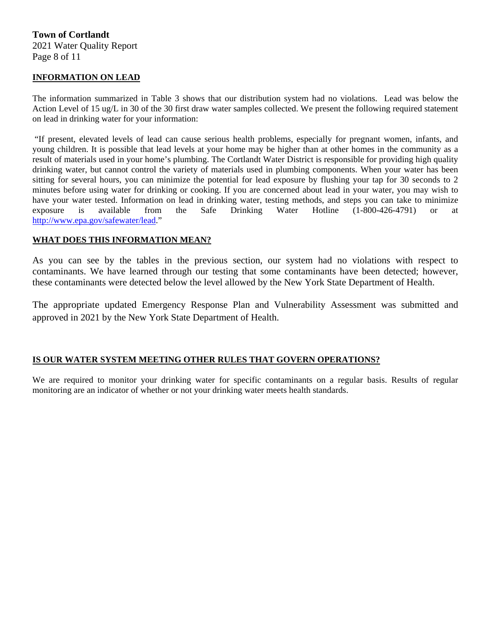#### **INFORMATION ON LEAD**

The information summarized in Table 3 shows that our distribution system had no violations. Lead was below the Action Level of 15 ug/L in 30 of the 30 first draw water samples collected. We present the following required statement on lead in drinking water for your information:

 "If present, elevated levels of lead can cause serious health problems, especially for pregnant women, infants, and young children. It is possible that lead levels at your home may be higher than at other homes in the community as a result of materials used in your home's plumbing. The Cortlandt Water District is responsible for providing high quality drinking water, but cannot control the variety of materials used in plumbing components. When your water has been sitting for several hours, you can minimize the potential for lead exposure by flushing your tap for 30 seconds to 2 minutes before using water for drinking or cooking. If you are concerned about lead in your water, you may wish to have your water tested. Information on lead in drinking water, testing methods, and steps you can take to minimize exposure is available from the Safe Drinking Water Hotline (1-800-426-4791) or at http://www.epa.gov/safewater/lead."

#### **WHAT DOES THIS INFORMATION MEAN?**

As you can see by the tables in the previous section, our system had no violations with respect to contaminants. We have learned through our testing that some contaminants have been detected; however, these contaminants were detected below the level allowed by the New York State Department of Health.

The appropriate updated Emergency Response Plan and Vulnerability Assessment was submitted and approved in 2021 by the New York State Department of Health.

#### **IS OUR WATER SYSTEM MEETING OTHER RULES THAT GOVERN OPERATIONS?**

We are required to monitor your drinking water for specific contaminants on a regular basis. Results of regular monitoring are an indicator of whether or not your drinking water meets health standards.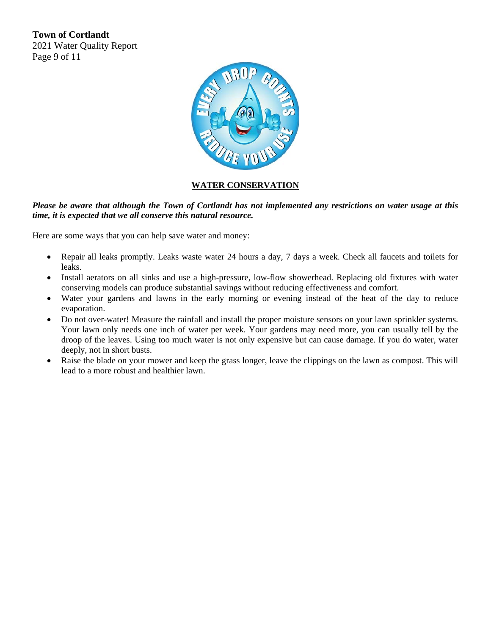**Town of Cortlandt**  2021 Water Quality Report Page 9 of 11



# **WATER CONSERVATION**

### *Please be aware that although the Town of Cortlandt has not implemented any restrictions on water usage at this time, it is expected that we all conserve this natural resource.*

Here are some ways that you can help save water and money:

- Repair all leaks promptly. Leaks waste water 24 hours a day, 7 days a week. Check all faucets and toilets for leaks.
- Install aerators on all sinks and use a high-pressure, low-flow showerhead. Replacing old fixtures with water conserving models can produce substantial savings without reducing effectiveness and comfort.
- Water your gardens and lawns in the early morning or evening instead of the heat of the day to reduce evaporation.
- Do not over-water! Measure the rainfall and install the proper moisture sensors on your lawn sprinkler systems. Your lawn only needs one inch of water per week. Your gardens may need more, you can usually tell by the droop of the leaves. Using too much water is not only expensive but can cause damage. If you do water, water deeply, not in short busts.
- Raise the blade on your mower and keep the grass longer, leave the clippings on the lawn as compost. This will lead to a more robust and healthier lawn.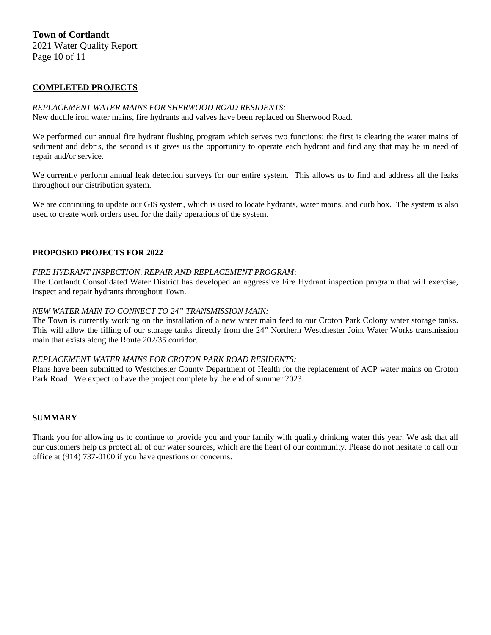### **Town of Cortlandt**  2021 Water Quality Report

Page 10 of 11

## **COMPLETED PROJECTS**

### *REPLACEMENT WATER MAINS FOR SHERWOOD ROAD RESIDENTS:*

New ductile iron water mains, fire hydrants and valves have been replaced on Sherwood Road.

We performed our annual fire hydrant flushing program which serves two functions: the first is clearing the water mains of sediment and debris, the second is it gives us the opportunity to operate each hydrant and find any that may be in need of repair and/or service.

We currently perform annual leak detection surveys for our entire system. This allows us to find and address all the leaks throughout our distribution system.

We are continuing to update our GIS system, which is used to locate hydrants, water mains, and curb box. The system is also used to create work orders used for the daily operations of the system.

#### **PROPOSED PROJECTS FOR 2022**

#### *FIRE HYDRANT INSPECTION, REPAIR AND REPLACEMENT PROGRAM*:

The Cortlandt Consolidated Water District has developed an aggressive Fire Hydrant inspection program that will exercise, inspect and repair hydrants throughout Town.

#### *NEW WATER MAIN TO CONNECT TO 24" TRANSMISSION MAIN:*

The Town is currently working on the installation of a new water main feed to our Croton Park Colony water storage tanks. This will allow the filling of our storage tanks directly from the 24" Northern Westchester Joint Water Works transmission main that exists along the Route 202/35 corridor.

#### *REPLACEMENT WATER MAINS FOR CROTON PARK ROAD RESIDENTS:*

Plans have been submitted to Westchester County Department of Health for the replacement of ACP water mains on Croton Park Road. We expect to have the project complete by the end of summer 2023.

#### **SUMMARY**

Thank you for allowing us to continue to provide you and your family with quality drinking water this year. We ask that all our customers help us protect all of our water sources, which are the heart of our community. Please do not hesitate to call our office at (914) 737-0100 if you have questions or concerns.